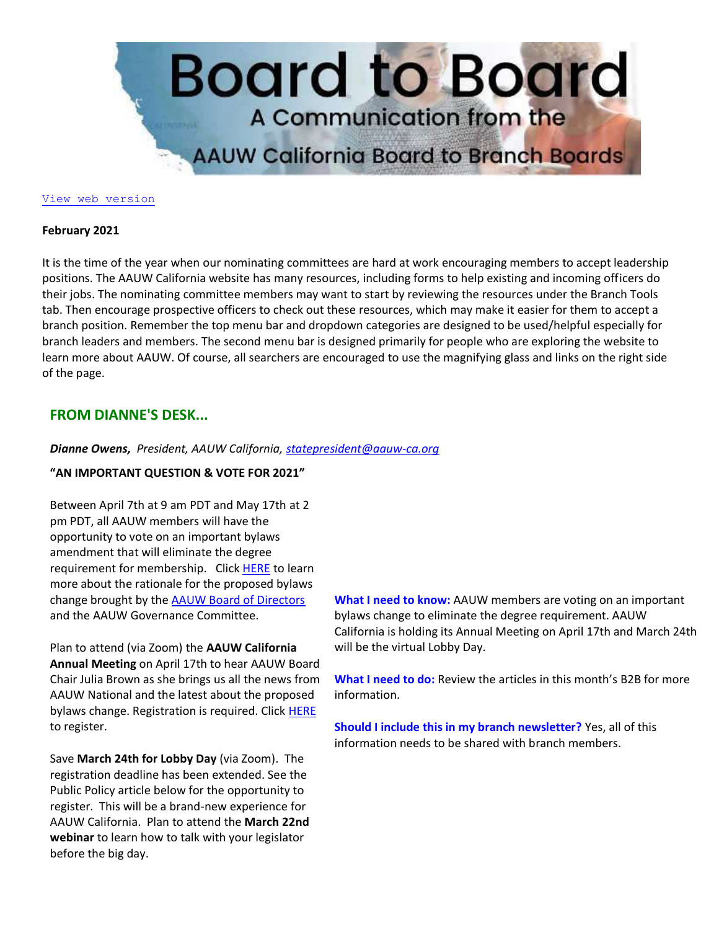

#### [View web version](https://bor.aauw-ca.org/sendy/w/TUOSGfy7Cpz8aRJWz2DoeQ/oc763LUjhQaWWaFPJ1GklAiw/MQvdRZWp763vBkXdgs892pTFeA)

### **February 2021**

It is the time of the year when our nominating committees are hard at work encouraging members to accept leadership positions. The AAUW California website has many resources, including forms to help existing and incoming officers do their jobs. The nominating committee members may want to start by reviewing the resources under the Branch Tools tab. Then encourage prospective officers to check out these resources, which may make it easier for them to accept a branch position. Remember the top menu bar and dropdown categories are designed to be used/helpful especially for branch leaders and members. The second menu bar is designed primarily for people who are exploring the website to learn more about AAUW. Of course, all searchers are encouraged to use the magnifying glass and links on the right side of the page.

# **FROM DIANNE'S DESK...**

# *Dianne Owens, President, AAUW California, [statepresident@aauw-ca.org](mailto:statepresident@aauw-ca.org)*

# **"AN IMPORTANT QUESTION & VOTE FOR 2021"**

Between April 7th at 9 am PDT and May 17th at 2 pm PDT, all AAUW members will have the opportunity to vote on an important bylaws amendment that will eliminate the degree requirement for membership. Click [HERE](https://bor.aauw-ca.org/sendy/l/TUOSGfy7Cpz8aRJWz2DoeQ/IUaCT8f7XlEDX1tT6V5p8A/MQvdRZWp763vBkXdgs892pTFeA) to learn more about the rationale for the proposed bylaws change brought by the [AAUW Board of Directors](https://bor.aauw-ca.org/sendy/l/TUOSGfy7Cpz8aRJWz2DoeQ/dbCR8a892F763lyj1892kbNIzXWw/MQvdRZWp763vBkXdgs892pTFeA) and the AAUW Governance Committee.

Plan to attend (via Zoom) the **AAUW California Annual Meeting** on April 17th to hear AAUW Board Chair Julia Brown as she brings us all the news from AAUW National and the latest about the proposed bylaws change. Registration is required. Click [HERE](https://bor.aauw-ca.org/sendy/l/TUOSGfy7Cpz8aRJWz2DoeQ/6PvPrRaPU0t9kLkTjgHhSQ/MQvdRZWp763vBkXdgs892pTFeA) to register.

Save **March 24th for Lobby Day** (via Zoom). The registration deadline has been extended. See the Public Policy article below for the opportunity to register. This will be a brand-new experience for AAUW California. Plan to attend the **March 22nd webinar** to learn how to talk with your legislator before the big day.

**What I need to know:** AAUW members are voting on an important bylaws change to eliminate the degree requirement. AAUW California is holding its Annual Meeting on April 17th and March 24th will be the virtual Lobby Day.

**What I need to do:** Review the articles in this month's B2B for more information.

**Should I include this in my branch newsletter?** Yes, all of this information needs to be shared with branch members.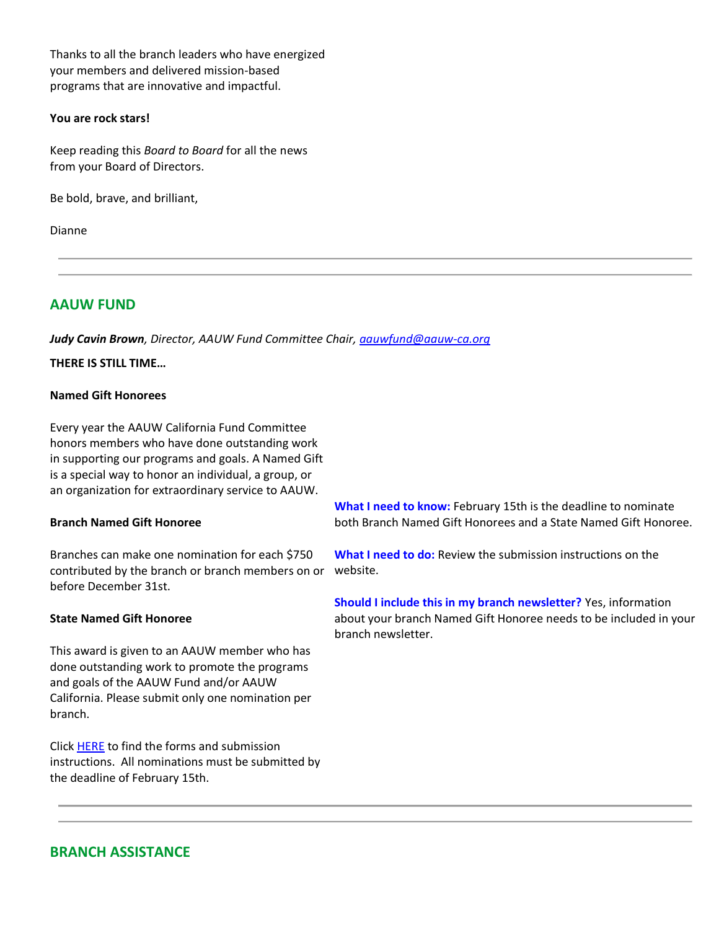Thanks to all the branch leaders who have energized your members and delivered mission-based programs that are innovative and impactful.

## **You are rock stars!**

Keep reading this *Board to Board* for all the news from your Board of Directors.

Be bold, brave, and brilliant,

Dianne

# **AAUW FUND**

*Judy Cavin Brown, Director, AAUW Fund Committee Chair, [aauwfund@aauw-ca.org](mailto:aauwfund@aauw-ca.org)*

# **THERE IS STILL TIME…**

# **Named Gift Honorees**

Every year the AAUW California Fund Committee honors members who have done outstanding work in supporting our programs and goals. A Named Gift is a special way to honor an individual, a group, or an organization for extraordinary service to AAUW.

## **Branch Named Gift Honoree**

Branches can make one nomination for each \$750 contributed by the branch or branch members on or website. before December 31st.

## **State Named Gift Honoree**

This award is given to an AAUW member who has done outstanding work to promote the programs and goals of the AAUW Fund and/or AAUW California. Please submit only one nomination per branch.

Clic[k HERE](https://bor.aauw-ca.org/sendy/l/TUOSGfy7Cpz8aRJWz2DoeQ/6hXwrWkI5inwpj0PN9n9LQ/MQvdRZWp763vBkXdgs892pTFeA) to find the forms and submission instructions. All nominations must be submitted by the deadline of February 15th.

**What I need to know:** February 15th is the deadline to nominate both Branch Named Gift Honorees and a State Named Gift Honoree.

**What I need to do:** Review the submission instructions on the

**Should I include this in my branch newsletter?** Yes, information about your branch Named Gift Honoree needs to be included in your branch newsletter.

# **BRANCH ASSISTANCE**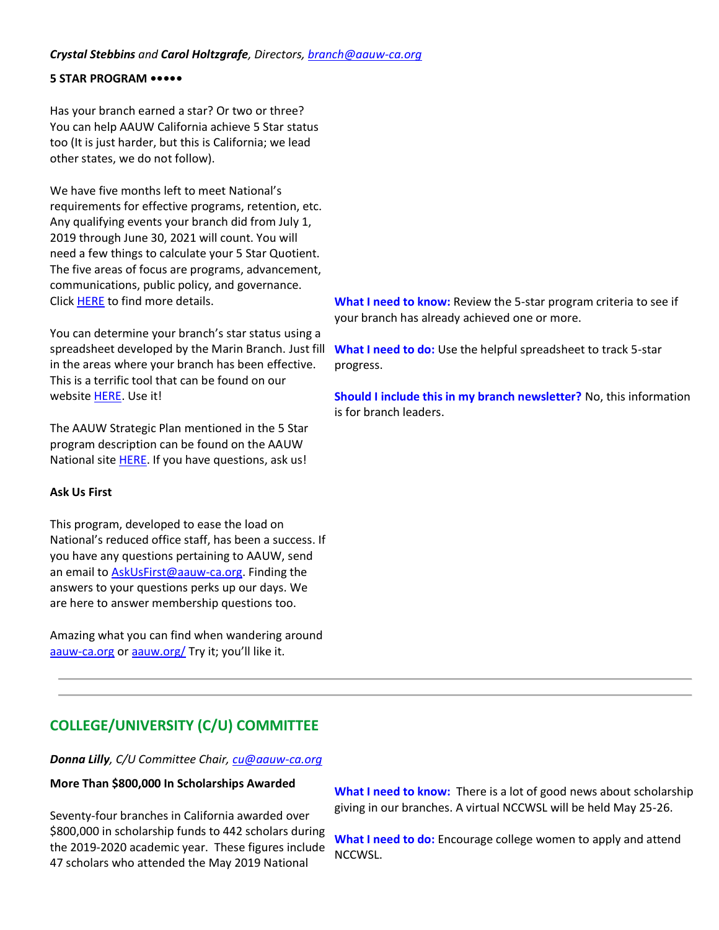# *Crystal Stebbins and Carol Holtzgrafe, Directors, [branch@aauw-ca.org](mailto:branch@aauw-ca.org)*

# **5 STAR PROGRAM •••••**

Has your branch earned a star? Or two or three? You can help AAUW California achieve 5 Star status too (It is just harder, but this is California; we lead other states, we do not follow).

We have five months left to meet National's requirements for effective programs, retention, etc. Any qualifying events your branch did from July 1, 2019 through June 30, 2021 will count. You will need a few things to calculate your 5 Star Quotient. The five areas of focus are programs, advancement, communications, public policy, and governance. Clic[k HERE](https://bor.aauw-ca.org/sendy/l/TUOSGfy7Cpz8aRJWz2DoeQ/uvBZxF8929892BbR82yT0j3IWg/MQvdRZWp763vBkXdgs892pTFeA) to find more details.

You can determine your branch's star status using a spreadsheet developed by the Marin Branch. Just fill in the areas where your branch has been effective. This is a terrific tool that can be found on our website [HERE.](https://bor.aauw-ca.org/sendy/l/TUOSGfy7Cpz8aRJWz2DoeQ/E8oCYQ34sDbpCmsoh21afg/MQvdRZWp763vBkXdgs892pTFeA) Use it!

The AAUW Strategic Plan mentioned in the 5 Star program description can be found on the AAUW National site **HERE**. If you have questions, ask us!

## **Ask Us First**

This program, developed to ease the load on National's reduced office staff, has been a success. If you have any questions pertaining to AAUW, send an email to **AskUsFirst@aauw-ca.org**. Finding the answers to your questions perks up our days. We are here to answer membership questions too.

Amazing what you can find when wandering around [aauw-ca.org](https://bor.aauw-ca.org/sendy/l/TUOSGfy7Cpz8aRJWz2DoeQ/ZBTTNl2OhubJukFBy8927XdA/MQvdRZWp763vBkXdgs892pTFeA) or [aauw.org/](https://bor.aauw-ca.org/sendy/l/TUOSGfy7Cpz8aRJWz2DoeQ/ADNnk763ABdSQX0ErKUOCKig/MQvdRZWp763vBkXdgs892pTFeA) Try it; you'll like it.

**What I need to know:** Review the 5-star program criteria to see if your branch has already achieved one or more.

**What I need to do:** Use the helpful spreadsheet to track 5-star progress.

**Should I include this in my branch newsletter?** No, this information is for branch leaders.

# **COLLEGE/UNIVERSITY (C/U) COMMITTEE**

*Donna Lilly, C/U Committee Chair, [cu@aauw-ca.org](mailto:cu@aauw-ca.org)*

## **More Than \$800,000 In Scholarships Awarded**

Seventy-four branches in California awarded over \$800,000 in scholarship funds to 442 scholars during the 2019-2020 academic year. These figures include 47 scholars who attended the May 2019 National

**What I need to know:** There is a lot of good news about scholarship giving in our branches. A virtual NCCWSL will be held May 25-26.

**What I need to do:** Encourage college women to apply and attend NCCWSL.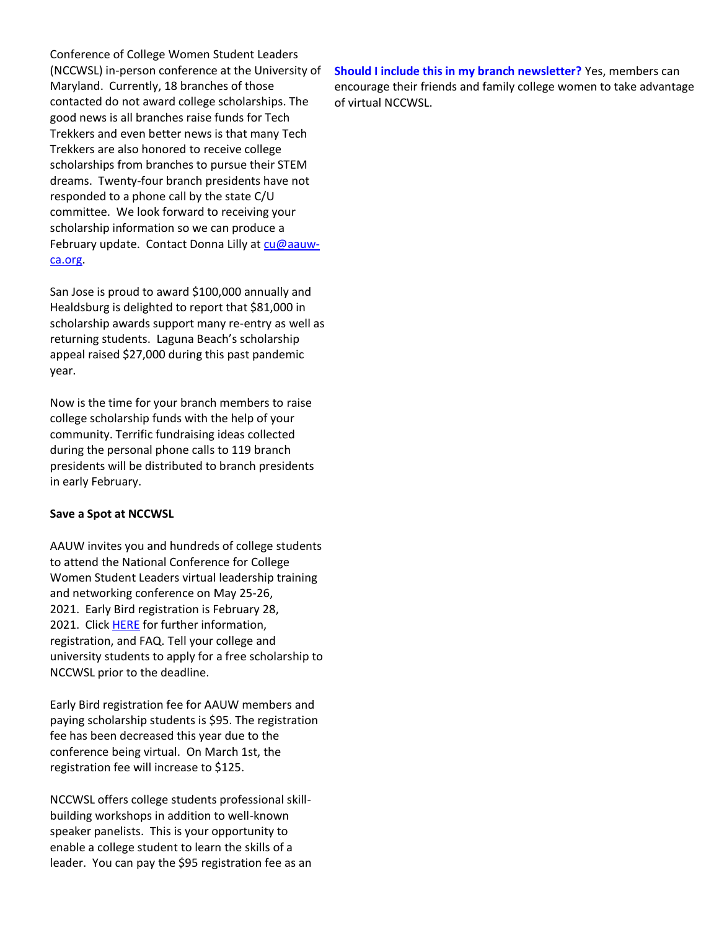Conference of College Women Student Leaders (NCCWSL) in-person conference at the University of Maryland. Currently, 18 branches of those contacted do not award college scholarships. The good news is all branches raise funds for Tech Trekkers and even better news is that many Tech Trekkers are also honored to receive college scholarships from branches to pursue their STEM dreams. Twenty-four branch presidents have not responded to a phone call by the state C/U committee. We look forward to receiving your scholarship information so we can produce a February update. Contact Donna Lilly at [cu@aauw](mailto:cu@aauw-ca.org)[ca.org.](mailto:cu@aauw-ca.org)

San Jose is proud to award \$100,000 annually and Healdsburg is delighted to report that \$81,000 in scholarship awards support many re-entry as well as returning students. Laguna Beach's scholarship appeal raised \$27,000 during this past pandemic year.

Now is the time for your branch members to raise college scholarship funds with the help of your community. Terrific fundraising ideas collected during the personal phone calls to 119 branch presidents will be distributed to branch presidents in early February.

## **Save a Spot at NCCWSL**

AAUW invites you and hundreds of college students to attend the National Conference for College Women Student Leaders virtual leadership training and networking conference on May 25-26, 2021. Early Bird registration is February 28, 2021. Click **HERE** for further information, registration, and FAQ. Tell your college and university students to apply for a free scholarship to NCCWSL prior to the deadline.

Early Bird registration fee for AAUW members and paying scholarship students is \$95. The registration fee has been decreased this year due to the conference being virtual. On March 1st, the registration fee will increase to \$125.

NCCWSL offers college students professional skillbuilding workshops in addition to well-known speaker panelists. This is your opportunity to enable a college student to learn the skills of a leader. You can pay the \$95 registration fee as an **Should I include this in my branch newsletter?** Yes, members can encourage their friends and family college women to take advantage of virtual NCCWSL.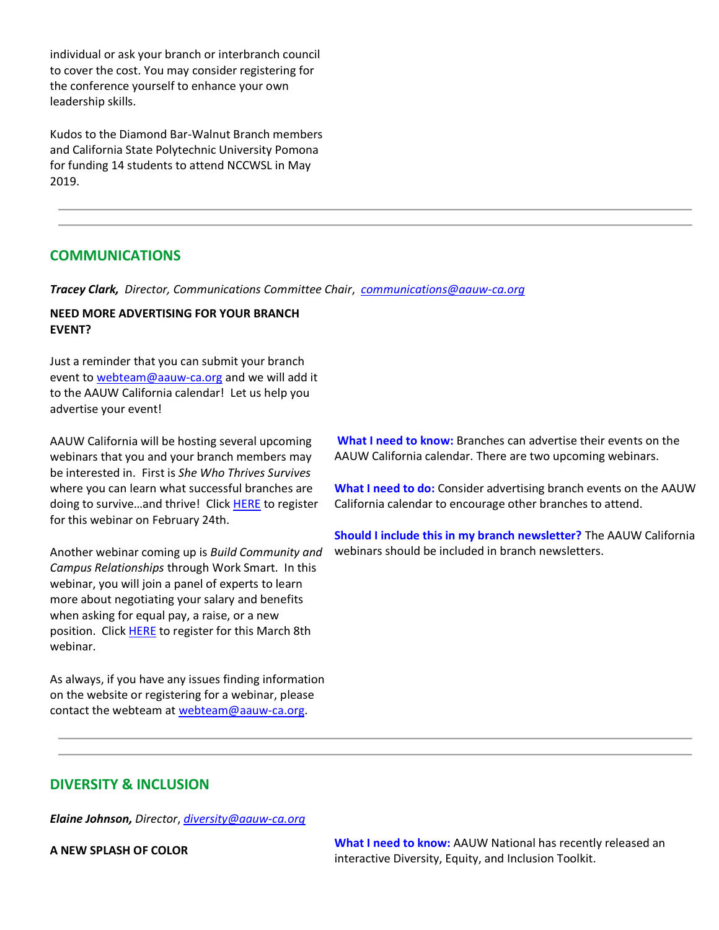individual or ask your branch or interbranch council to cover the cost. You may consider registering for the conference yourself to enhance your own leadership skills.

Kudos to the Diamond Bar-Walnut Branch members and California State Polytechnic University Pomona for funding 14 students to attend NCCWSL in May 2019.

# **COMMUNICATIONS**

*Tracey Clark, Director, Communications Committee Chair*, *[communications@aauw-ca.org](mailto:Communications@aauw-ca.org)*

# **NEED MORE ADVERTISING FOR YOUR BRANCH EVENT?**

Just a reminder that you can submit your branch event to [webteam@aauw-ca.org](mailto:webteam@aauw-ca.org) and we will add it to the AAUW California calendar! Let us help you advertise your event!

AAUW California will be hosting several upcoming webinars that you and your branch members may be interested in. First is *She Who Thrives Survives* where you can learn what successful branches are doing to survive...and thrive! Clic[k HERE](https://bor.aauw-ca.org/sendy/l/TUOSGfy7Cpz8aRJWz2DoeQ/Ba6yDUZk0x2kNrn9qOKt2A/MQvdRZWp763vBkXdgs892pTFeA) to register for this webinar on February 24th.

Another webinar coming up is *Build Community and Campus Relationships* through Work Smart. In this webinar, you will join a panel of experts to learn more about negotiating your salary and benefits when asking for equal pay, a raise, or a new position. Click **HERE** to register for this March 8th webinar.

As always, if you have any issues finding information on the website or registering for a webinar, please contact the webteam at [webteam@aauw-ca.org.](mailto:webteam@aauw-ca.org)

**What I need to know:** Branches can advertise their events on the AAUW California calendar. There are two upcoming webinars.

**What I need to do:** Consider advertising branch events on the AAUW California calendar to encourage other branches to attend.

**Should I include this in my branch newsletter?** The AAUW California webinars should be included in branch newsletters.

# **DIVERSITY & INCLUSION**

*Elaine Johnson, Director*, *[diversity@aauw-ca.org](mailto:diversity@aauw-ca.org)*

**A NEW SPLASH OF COLOR What I need to know:** AAUW National has recently released an interactive Diversity, Equity, and Inclusion Toolkit.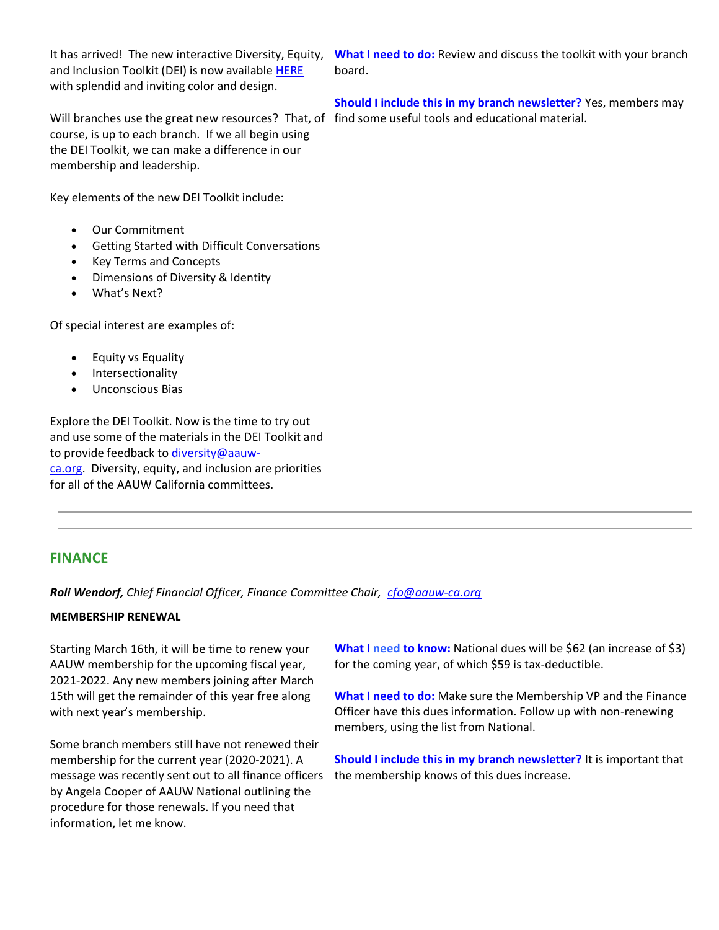It has arrived! The new interactive Diversity, Equity, and Inclusion Toolkit (DEI) is now available [HERE](https://bor.aauw-ca.org/sendy/l/TUOSGfy7Cpz8aRJWz2DoeQ/kfIMQGqUfAz4Efpew2jTUw/MQvdRZWp763vBkXdgs892pTFeA) with splendid and inviting color and design.

Will branches use the great new resources? That, of find some useful tools and educational material. course, is up to each branch. If we all begin using the DEI Toolkit, we can make a difference in our membership and leadership.

Key elements of the new DEI Toolkit include:

- Our Commitment
- Getting Started with Difficult Conversations
- Key Terms and Concepts
- Dimensions of Diversity & Identity
- What's Next?

Of special interest are examples of:

- Equity vs Equality
- Intersectionality
- Unconscious Bias

Explore the DEI Toolkit. Now is the time to try out and use some of the materials in the DEI Toolkit and to provide feedback to [diversity@aauw](mailto:diversity@aauw-ca.org)[ca.org.](mailto:diversity@aauw-ca.org) Diversity, equity, and inclusion are priorities for all of the AAUW California committees.

# **FINANCE**

*Roli Wendorf, Chief Financial Officer, Finance Committee Chair, [cfo@aauw-ca.org](mailto:cfo@aauw-ca.org)*

## **MEMBERSHIP RENEWAL**

Starting March 16th, it will be time to renew your AAUW membership for the upcoming fiscal year, 2021-2022. Any new members joining after March 15th will get the remainder of this year free along with next year's membership.

Some branch members still have not renewed their membership for the current year (2020-2021). A message was recently sent out to all finance officers by Angela Cooper of AAUW National outlining the procedure for those renewals. If you need that information, let me know.

**What I need to know:** National dues will be \$62 (an increase of \$3) for the coming year, of which \$59 is tax-deductible.

**What I need to do:** Make sure the Membership VP and the Finance Officer have this dues information. Follow up with non-renewing members, using the list from National.

**Should I include this in my branch newsletter?** It is important that the membership knows of this dues increase.

**What I need to do:** Review and discuss the toolkit with your branch board.

# **Should I include this in my branch newsletter?** Yes, members may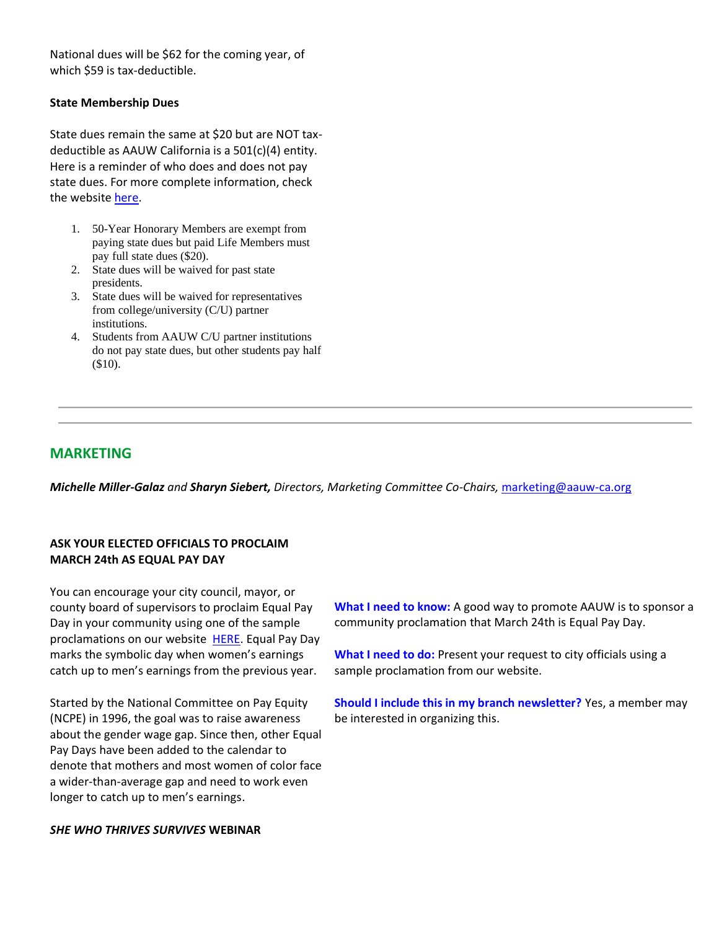National dues will be \$62 for the coming year, of which \$59 is tax-deductible.

## **State Membership Dues**

State dues remain the same at \$20 but are NOT taxdeductible as AAUW California is a 501(c)(4) entity. Here is a reminder of who does and does not pay state dues. For more complete information, check the website [here.](https://bor.aauw-ca.org/sendy/l/TUOSGfy7Cpz8aRJWz2DoeQ/dg3h7635O892DUdTVX5AIqOYLQ/MQvdRZWp763vBkXdgs892pTFeA)

- 1. 50-Year Honorary Members are exempt from paying state dues but paid Life Members must pay full state dues (\$20).
- 2. State dues will be waived for past state presidents.
- 3. State dues will be waived for representatives from college/university (C/U) partner institutions.
- 4. Students from AAUW C/U partner institutions do not pay state dues, but other students pay half (\$10).

# **MARKETING**

*Michelle Miller-Galaz and Sharyn Siebert, Directors, Marketing Committee Co-Chairs,* [marketing@aauw-ca.org](mailto:marketing@aauw-ca.org)

# **ASK YOUR ELECTED OFFICIALS TO PROCLAIM MARCH 24th AS EQUAL PAY DAY**

You can encourage your city council, mayor, or county board of supervisors to proclaim Equal Pay Day in your community using one of the sample proclamations on our website [HERE.](https://bor.aauw-ca.org/sendy/l/TUOSGfy7Cpz8aRJWz2DoeQ/DdBmugmZk892Y7BGYrm6Jccg/MQvdRZWp763vBkXdgs892pTFeA) Equal Pay Day marks the symbolic day when women's earnings catch up to men's earnings from the previous year.

Started by the National Committee on Pay Equity (NCPE) in 1996, the goal was to raise awareness about the gender wage gap. Since then, other Equal Pay Days have been added to the calendar to denote that mothers and most women of color face a wider-than-average gap and need to work even longer to catch up to men's earnings.

*SHE WHO THRIVES SURVIVES* **WEBINAR**

**What I need to know:** A good way to promote AAUW is to sponsor a community proclamation that March 24th is Equal Pay Day.

What I need to do: Present your request to city officials using a sample proclamation from our website.

**Should I include this in my branch newsletter?** Yes, a member may be interested in organizing this.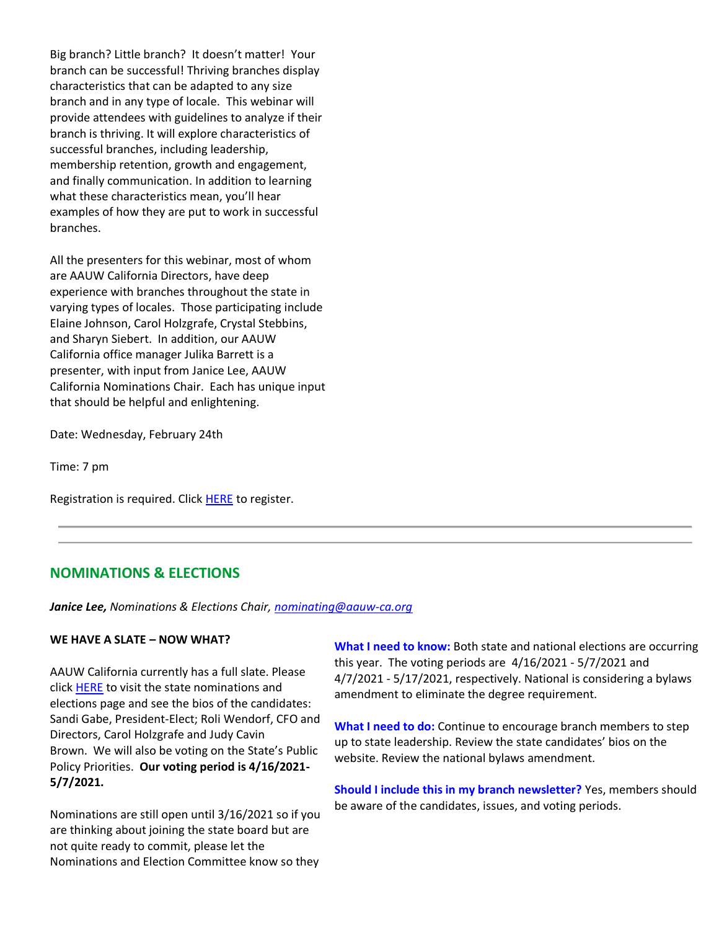Big branch? Little branch? It doesn't matter! Your branch can be successful! Thriving branches display characteristics that can be adapted to any size branch and in any type of locale. This webinar will provide attendees with guidelines to analyze if their branch is thriving. It will explore characteristics of successful branches, including leadership, membership retention, growth and engagement, and finally communication. In addition to learning what these characteristics mean, you'll hear examples of how they are put to work in successful branches.

All the presenters for this webinar, most of whom are AAUW California Directors, have deep experience with branches throughout the state in varying types of locales. Those participating include Elaine Johnson, Carol Holzgrafe, Crystal Stebbins, and Sharyn Siebert. In addition, our AAUW California office manager Julika Barrett is a presenter, with input from Janice Lee, AAUW California Nominations Chair. Each has unique input that should be helpful and enlightening.

Date: Wednesday, February 24th

Time: 7 pm

Registration is required. Click [HERE](https://bor.aauw-ca.org/sendy/l/TUOSGfy7Cpz8aRJWz2DoeQ/ZTGCMiB7FqLQMzqnxCexcQ/MQvdRZWp763vBkXdgs892pTFeA) to register.

# **NOMINATIONS & ELECTIONS**

*Janice Lee, Nominations & Elections Chair, [nominating@aauw-ca.org](mailto:nominating@aauw-ca.org)*

## **WE HAVE A SLATE – NOW WHAT?**

AAUW California currently has a full slate. Please click [HERE](https://bor.aauw-ca.org/sendy/l/TUOSGfy7Cpz8aRJWz2DoeQ/TzsAMShfRN15qROgNliX4w/MQvdRZWp763vBkXdgs892pTFeA) to visit the state nominations and elections page and see the bios of the candidates: Sandi Gabe, President-Elect; Roli Wendorf, CFO and Directors, Carol Holzgrafe and Judy Cavin Brown. We will also be voting on the State's Public Policy Priorities. **Our voting period is 4/16/2021- 5/7/2021.**

Nominations are still open until 3/16/2021 so if you are thinking about joining the state board but are not quite ready to commit, please let the Nominations and Election Committee know so they

**What I need to know:** Both state and national elections are occurring this year. The voting periods are 4/16/2021 - 5/7/2021 and 4/7/2021 - 5/17/2021, respectively. National is considering a bylaws amendment to eliminate the degree requirement.

**What I need to do:** Continue to encourage branch members to step up to state leadership. Review the state candidates' bios on the website. Review the national bylaws amendment.

**Should I include this in my branch newsletter?** Yes, members should be aware of the candidates, issues, and voting periods.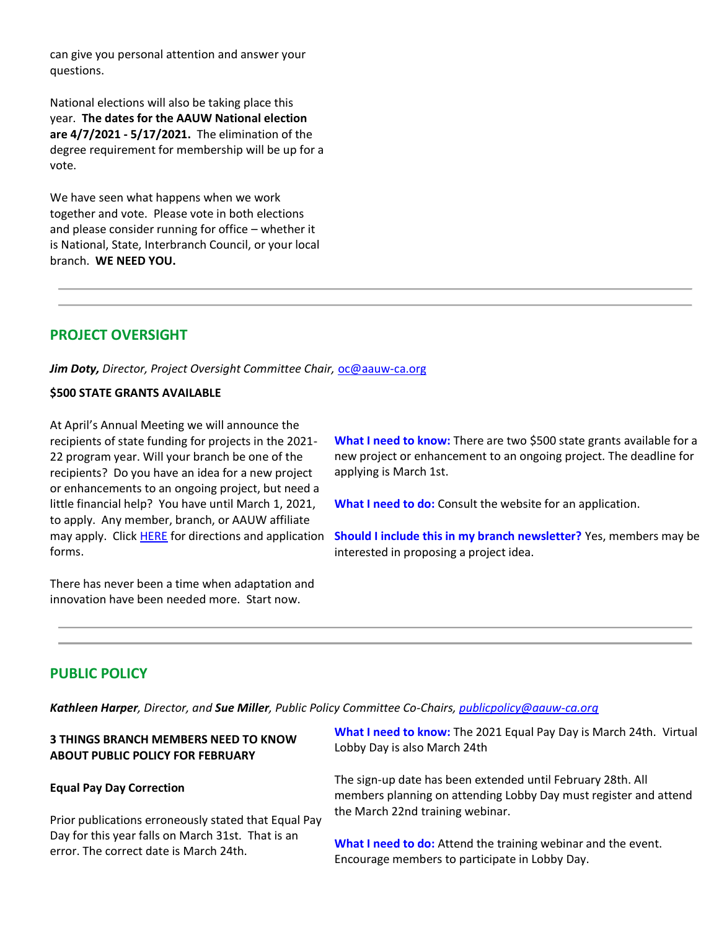can give you personal attention and answer your questions.

National elections will also be taking place this year. **The dates for the AAUW National election are 4/7/2021 - 5/17/2021.** The elimination of the degree requirement for membership will be up for a vote.

We have seen what happens when we work together and vote. Please vote in both elections and please consider running for office – whether it is National, State, Interbranch Council, or your local branch. **WE NEED YOU.**

# **PROJECT OVERSIGHT**

*Jim Doty, Director, Project Oversight Committee Chair,* [oc@aauw-ca.org](mailto:oc@aauw-ca.org)

# **\$500 STATE GRANTS AVAILABLE**

At April's Annual Meeting we will announce the recipients of state funding for projects in the 2021- 22 program year. Will your branch be one of the recipients? Do you have an idea for a new project or enhancements to an ongoing project, but need a little financial help? You have until March 1, 2021, to apply. Any member, branch, or AAUW affiliate may apply. Click **HERE** for directions and application forms.

There has never been a time when adaptation and innovation have been needed more. Start now.

**What I need to know:** There are two \$500 state grants available for a new project or enhancement to an ongoing project. The deadline for applying is March 1st.

**What I need to do:** Consult the website for an application.

**Should I include this in my branch newsletter?** Yes, members may be interested in proposing a project idea.

# **PUBLIC POLICY**

*Kathleen Harper, Director, and Sue Miller, Public Policy Committee Co-Chairs, [publicpolicy@aauw-ca.org](mailto:PublicPolicy@aauw-ca.org)*

# **3 THINGS BRANCH MEMBERS NEED TO KNOW ABOUT PUBLIC POLICY FOR FEBRUARY**

## **Equal Pay Day Correction**

Prior publications erroneously stated that Equal Pay Day for this year falls on March 31st. That is an error. The correct date is March 24th.

**What I need to know:** The 2021 Equal Pay Day is March 24th. Virtual Lobby Day is also March 24th

The sign-up date has been extended until February 28th. All members planning on attending Lobby Day must register and attend the March 22nd training webinar.

**What I need to do:** Attend the training webinar and the event. Encourage members to participate in Lobby Day.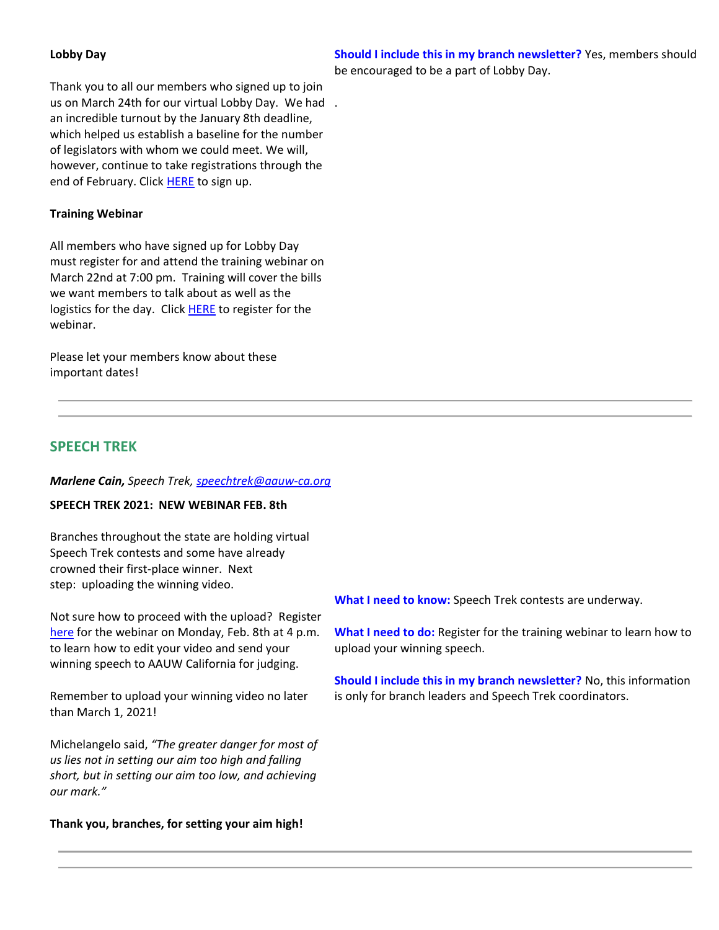# **Lobby Day**

**Should I include this in my branch newsletter?** Yes, members should be encouraged to be a part of Lobby Day.

Thank you to all our members who signed up to join us on March 24th for our virtual Lobby Day. We had . an incredible turnout by the January 8th deadline, which helped us establish a baseline for the number of legislators with whom we could meet. We will, however, continue to take registrations through the end of February. Click [HERE](https://bor.aauw-ca.org/sendy/l/TUOSGfy7Cpz8aRJWz2DoeQ/HPuoEoPlnkMeX763rBT2rHQA/MQvdRZWp763vBkXdgs892pTFeA) to sign up.

# **Training Webinar**

All members who have signed up for Lobby Day must register for and attend the training webinar on March 22nd at 7:00 pm. Training will cover the bills we want members to talk about as well as the logistics for the day. Click [HERE](https://bor.aauw-ca.org/sendy/l/TUOSGfy7Cpz8aRJWz2DoeQ/EQLqlbOUhkQudEtIj3cuZQ/MQvdRZWp763vBkXdgs892pTFeA) to register for the webinar.

Please let your members know about these important dates!

# **SPEECH TREK**

## *Marlene Cain, Speech Trek, [speechtrek@aauw-ca.org](mailto:speechtrek@aauw-ca.org)*

## **SPEECH TREK 2021: NEW WEBINAR FEB. 8th**

Branches throughout the state are holding virtual Speech Trek contests and some have already crowned their first-place winner. Next step: uploading the winning video.

Not sure how to proceed with the upload? Register [here](https://bor.aauw-ca.org/sendy/l/TUOSGfy7Cpz8aRJWz2DoeQ/P5uroSV6ai763J892PsbtqFiCQ/MQvdRZWp763vBkXdgs892pTFeA) for the webinar on Monday, Feb. 8th at 4 p.m. to learn how to edit your video and send your winning speech to AAUW California for judging.

Remember to upload your winning video no later than March 1, 2021!

Michelangelo said, *"The greater danger for most of us lies not in setting our aim too high and falling short, but in setting our aim too low, and achieving our mark."*

## **Thank you, branches, for setting your aim high!**

**What I need to know:** Speech Trek contests are underway.

**What I need to do:** Register for the training webinar to learn how to upload your winning speech.

**Should I include this in my branch newsletter?** No, this information is only for branch leaders and Speech Trek coordinators.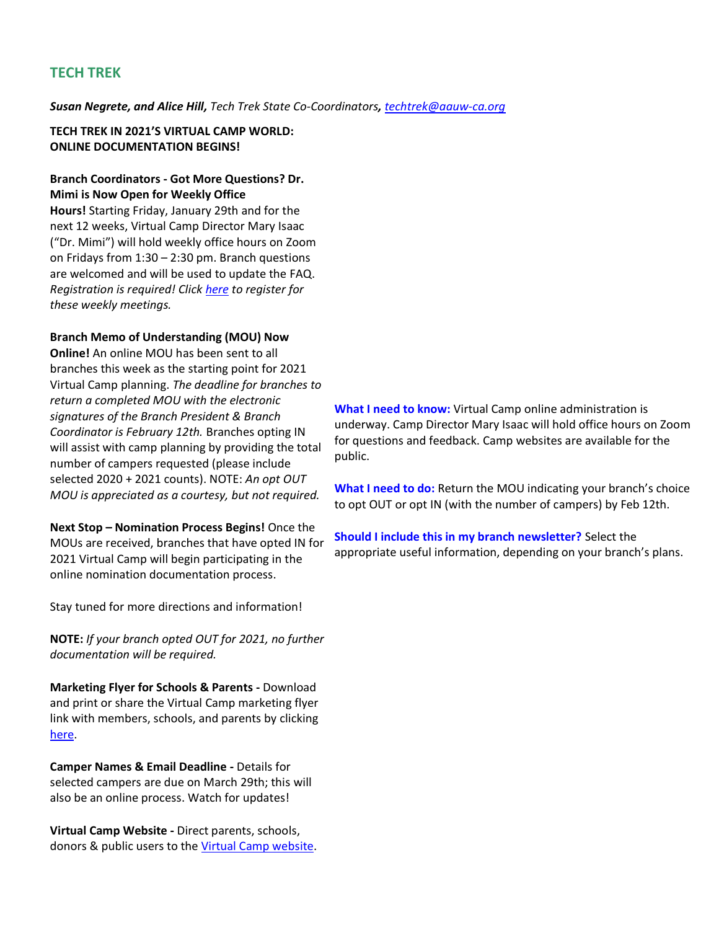# **TECH TREK**

*Susan Negrete, and Alice Hill, Tech Trek State Co-Coordinators, [techtrek@aauw-ca.org](mailto:techtrek@aauw-ca.org)*

# **TECH TREK IN 2021'S VIRTUAL CAMP WORLD: ONLINE DOCUMENTATION BEGINS!**

# **Branch Coordinators - Got More Questions? Dr. Mimi is Now Open for Weekly Office**

**Hours!** Starting Friday, January 29th and for the next 12 weeks, Virtual Camp Director Mary Isaac ("Dr. Mimi") will hold weekly office hours on Zoom on Fridays from 1:30 – 2:30 pm. Branch questions are welcomed and will be used to update the FAQ. *Registration is required! Click [here](https://bor.aauw-ca.org/sendy/l/TUOSGfy7Cpz8aRJWz2DoeQ/e58D5HXtCFpV4lNw8GznTw/MQvdRZWp763vBkXdgs892pTFeA) to register for these weekly meetings.*

## **Branch Memo of Understanding (MOU) Now**

**Online!** An online MOU has been sent to all branches this week as the starting point for 2021 Virtual Camp planning. *The deadline for branches to return a completed MOU with the electronic signatures of the Branch President & Branch Coordinator is February 12th.* Branches opting IN will assist with camp planning by providing the total number of campers requested (please include selected 2020 + 2021 counts). NOTE: *An opt OUT MOU is appreciated as a courtesy, but not required.*

**Next Stop – Nomination Process Begins!** Once the MOUs are received, branches that have opted IN for 2021 Virtual Camp will begin participating in the online nomination documentation process.

Stay tuned for more directions and information!

**NOTE:** *If your branch opted OUT for 2021, no further documentation will be required.*

**Marketing Flyer for Schools & Parents -** Download and print or share the Virtual Camp marketing flyer link with members, schools, and parents by clicking [here.](https://bor.aauw-ca.org/sendy/l/TUOSGfy7Cpz8aRJWz2DoeQ/0763FJBDt9XuMwbmfs1wDUrA/MQvdRZWp763vBkXdgs892pTFeA)

**Camper Names & Email Deadline -** Details for selected campers are due on March 29th; this will also be an online process. Watch for updates!

**Virtual Camp Website -** Direct parents, schools, donors & public users to the [Virtual Camp website.](https://bor.aauw-ca.org/sendy/l/TUOSGfy7Cpz8aRJWz2DoeQ/znWvibyeVlrDh7O9q2ZN892g/MQvdRZWp763vBkXdgs892pTFeA) **What I need to know:** Virtual Camp online administration is underway. Camp Director Mary Isaac will hold office hours on Zoom for questions and feedback. Camp websites are available for the public.

**What I need to do:** Return the MOU indicating your branch's choice to opt OUT or opt IN (with the number of campers) by Feb 12th.

**Should I include this in my branch newsletter?** Select the appropriate useful information, depending on your branch's plans.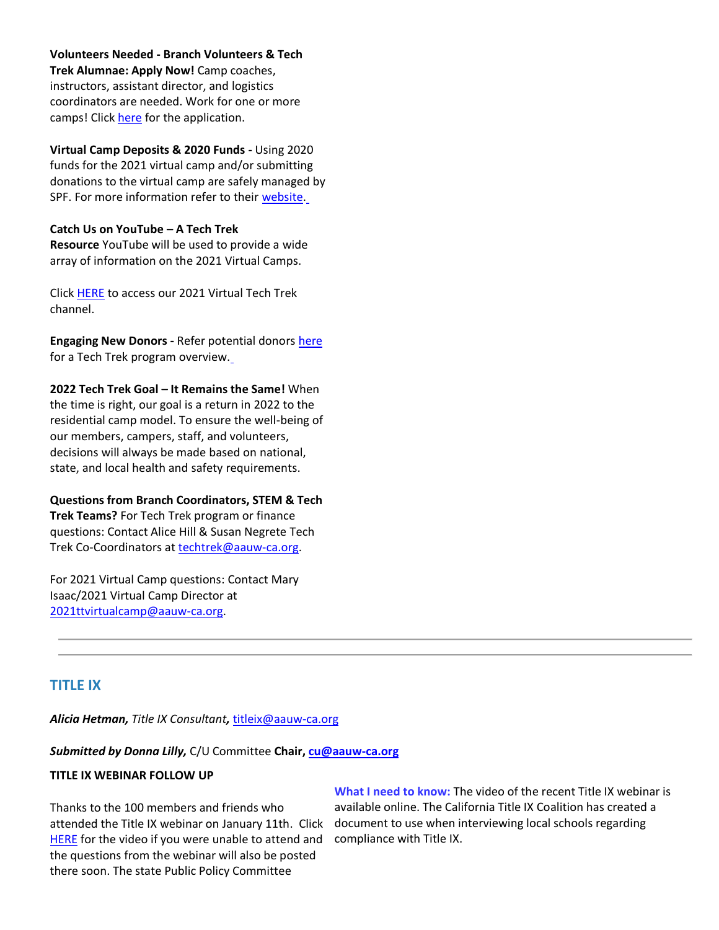**Volunteers Needed - Branch Volunteers & Tech Trek Alumnae: Apply Now!** Camp coaches, instructors, assistant director, and logistics coordinators are needed. Work for one or more camps! Click [here](https://bor.aauw-ca.org/sendy/l/TUOSGfy7Cpz8aRJWz2DoeQ/UvmhIGgzgWK9R0jKw8tIKw/MQvdRZWp763vBkXdgs892pTFeA) for the application.

**Virtual Camp Deposits & 2020 Funds -** Using 2020 funds for the 2021 virtual camp and/or submitting donations to the virtual camp are safely managed by SPF. For more information refer to their [website.](https://bor.aauw-ca.org/sendy/l/TUOSGfy7Cpz8aRJWz2DoeQ/9G763LlQ6jnYDR3wV13rD763LQ/MQvdRZWp763vBkXdgs892pTFeA)

### **Catch Us on YouTube – A Tech Trek**

**Resource** YouTube will be used to provide a wide array of information on the 2021 Virtual Camps.

Clic[k HERE](https://bor.aauw-ca.org/sendy/l/TUOSGfy7Cpz8aRJWz2DoeQ/5SvuX892DhHIxXC3QU7yo61A/MQvdRZWp763vBkXdgs892pTFeA) to access our 2021 Virtual Tech Trek channel.

**Engaging New Donors - Refer potential donors [here](https://bor.aauw-ca.org/sendy/l/TUOSGfy7Cpz8aRJWz2DoeQ/K3FR7636Y8sSXoypBk8UdAyQ/MQvdRZWp763vBkXdgs892pTFeA)** for a Tech Trek program overview[.](https://bor.aauw-ca.org/sendy/l/TUOSGfy7Cpz8aRJWz2DoeQ/K3FR7636Y8sSXoypBk8UdAyQ/MQvdRZWp763vBkXdgs892pTFeA)

**2022 Tech Trek Goal – It Remains the Same!** When the time is right, our goal is a return in 2022 to the residential camp model. To ensure the well-being of our members, campers, staff, and volunteers, decisions will always be made based on national, state, and local health and safety requirements.

**Questions from Branch Coordinators, STEM & Tech Trek Teams?** For Tech Trek program or finance questions: Contact Alice Hill & Susan Negrete Tech Trek Co-Coordinators at [techtrek@aauw-ca.org.](mailto:techtrek@aauw-ca.org)

For 2021 Virtual Camp questions: Contact Mary Isaac/2021 Virtual Camp Director at [2021ttvirtualcamp@aauw-ca.org.](mailto:2021ttvirtualcamp@aauw-ca.org)

# **TITLE IX**

*Alicia Hetman, Title IX Consultant,* [titleix@aauw-ca.org](mailto:titleix@aauw-ca.org)

#### *Submitted by Donna Lilly,* C/U Committee **Chair, [cu@aauw-ca.org](mailto:cu@aauw-ca.org)**

## **TITLE IX WEBINAR FOLLOW UP**

Thanks to the 100 members and friends who attended the Title IX webinar on January 11th. Click [HERE](https://bor.aauw-ca.org/sendy/l/TUOSGfy7Cpz8aRJWz2DoeQ/qsLsNjMM8fzH5Pm4k4PHDw/MQvdRZWp763vBkXdgs892pTFeA) for the video if you were unable to attend and the questions from the webinar will also be posted there soon. The state Public Policy Committee

**What I need to know:** The video of the recent Title IX webinar is available online. The California Title IX Coalition has created a document to use when interviewing local schools regarding compliance with Title IX.